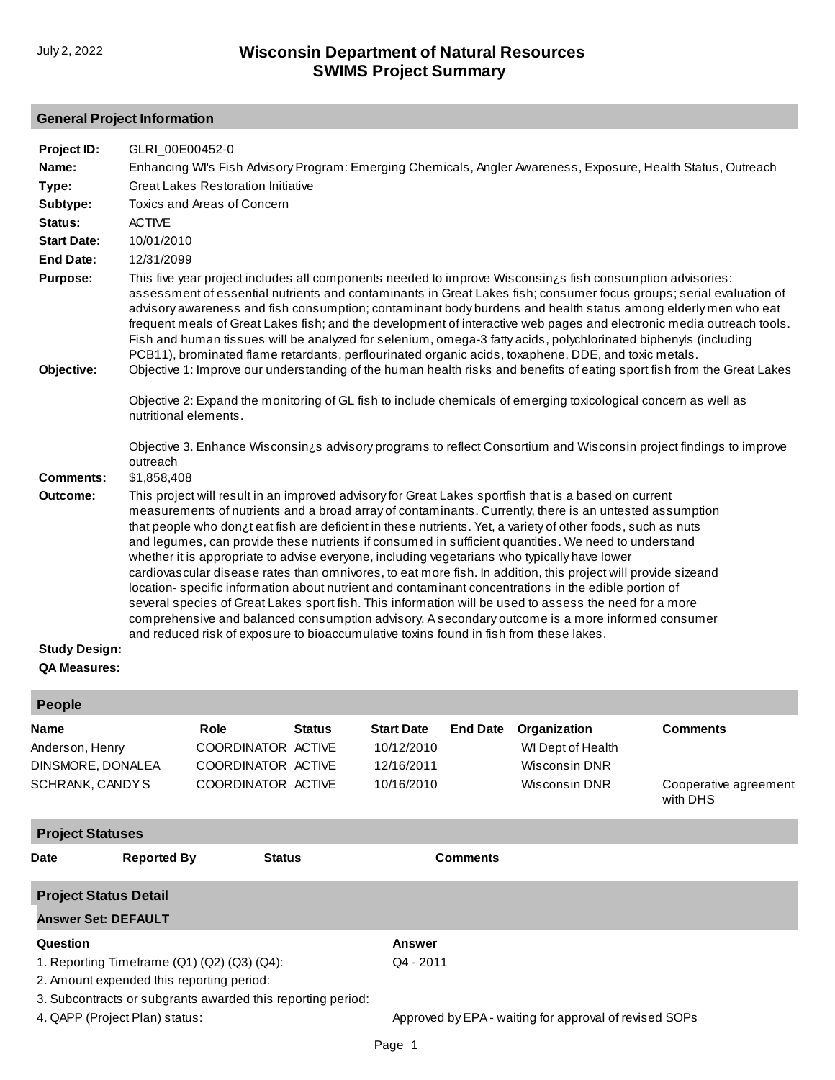# **General Project Information**

| Project ID:          | GLRI_00E00452-0                                                                                                                                                                                                                                                                                                                                                                                                                                                                                                                                                                                                                                                                                                                                                                                                                                                                                                                                                                                                                                                           |
|----------------------|---------------------------------------------------------------------------------------------------------------------------------------------------------------------------------------------------------------------------------------------------------------------------------------------------------------------------------------------------------------------------------------------------------------------------------------------------------------------------------------------------------------------------------------------------------------------------------------------------------------------------------------------------------------------------------------------------------------------------------------------------------------------------------------------------------------------------------------------------------------------------------------------------------------------------------------------------------------------------------------------------------------------------------------------------------------------------|
| Name:                | Enhancing WI's Fish Advisory Program: Emerging Chemicals, Angler Awareness, Exposure, Health Status, Outreach                                                                                                                                                                                                                                                                                                                                                                                                                                                                                                                                                                                                                                                                                                                                                                                                                                                                                                                                                             |
| Type:                | <b>Great Lakes Restoration Initiative</b>                                                                                                                                                                                                                                                                                                                                                                                                                                                                                                                                                                                                                                                                                                                                                                                                                                                                                                                                                                                                                                 |
| Subtype:             | Toxics and Areas of Concern                                                                                                                                                                                                                                                                                                                                                                                                                                                                                                                                                                                                                                                                                                                                                                                                                                                                                                                                                                                                                                               |
| Status:              | <b>ACTIVE</b>                                                                                                                                                                                                                                                                                                                                                                                                                                                                                                                                                                                                                                                                                                                                                                                                                                                                                                                                                                                                                                                             |
| <b>Start Date:</b>   | 10/01/2010                                                                                                                                                                                                                                                                                                                                                                                                                                                                                                                                                                                                                                                                                                                                                                                                                                                                                                                                                                                                                                                                |
| <b>End Date:</b>     | 12/31/2099                                                                                                                                                                                                                                                                                                                                                                                                                                                                                                                                                                                                                                                                                                                                                                                                                                                                                                                                                                                                                                                                |
| Purpose:             | This five year project includes all components needed to improve Wisconsin is fish consumption advisories:<br>assessment of essential nutrients and contaminants in Great Lakes fish; consumer focus groups; serial evaluation of<br>advisory awareness and fish consumption; contaminant body burdens and health status among elderly men who eat<br>frequent meals of Great Lakes fish; and the development of interactive web pages and electronic media outreach tools.<br>Fish and human tissues will be analyzed for selenium, omega-3 fatty acids, polychlorinated biphenyls (including<br>PCB11), brominated flame retardants, perflourinated organic acids, toxaphene, DDE, and toxic metals.                                                                                                                                                                                                                                                                                                                                                                    |
| Objective:           | Objective 1: Improve our understanding of the human health risks and benefits of eating sport fish from the Great Lakes                                                                                                                                                                                                                                                                                                                                                                                                                                                                                                                                                                                                                                                                                                                                                                                                                                                                                                                                                   |
|                      | Objective 2: Expand the monitoring of GL fish to include chemicals of emerging toxicological concern as well as<br>nutritional elements.                                                                                                                                                                                                                                                                                                                                                                                                                                                                                                                                                                                                                                                                                                                                                                                                                                                                                                                                  |
| <b>Comments:</b>     | Objective 3. Enhance Wisconsin <sub>i</sub> s advisory programs to reflect Consortium and Wisconsin project findings to improve<br>outreach<br>\$1,858,408                                                                                                                                                                                                                                                                                                                                                                                                                                                                                                                                                                                                                                                                                                                                                                                                                                                                                                                |
| Outcome:             | This project will result in an improved advisory for Great Lakes sportfish that is a based on current<br>measurements of nutrients and a broad array of contaminants. Currently, there is an untested assumption<br>that people who don¿t eat fish are deficient in these nutrients. Yet, a variety of other foods, such as nuts<br>and legumes, can provide these nutrients if consumed in sufficient quantities. We need to understand<br>whether it is appropriate to advise everyone, including vegetarians who typically have lower<br>cardiovascular disease rates than omnivores, to eat more fish. In addition, this project will provide sizeand<br>location-specific information about nutrient and contaminant concentrations in the edible portion of<br>several species of Great Lakes sport fish. This information will be used to assess the need for a more<br>comprehensive and balanced consumption advisory. A secondary outcome is a more informed consumer<br>and reduced risk of exposure to bioaccumulative toxins found in fish from these lakes. |
| <b>Study Design:</b> |                                                                                                                                                                                                                                                                                                                                                                                                                                                                                                                                                                                                                                                                                                                                                                                                                                                                                                                                                                                                                                                                           |

## **QA Measures:**

| <b>People</b>                                                                                                                                                    |                    |                                                                        |               |                                                             |                                                        |                                                                     |                                                      |  |  |
|------------------------------------------------------------------------------------------------------------------------------------------------------------------|--------------------|------------------------------------------------------------------------|---------------|-------------------------------------------------------------|--------------------------------------------------------|---------------------------------------------------------------------|------------------------------------------------------|--|--|
| <b>Name</b><br>Anderson, Henry<br>DINSMORE, DONALEA<br>SCHRANK, CANDYS                                                                                           |                    | Role<br>COORDINATOR ACTIVE<br>COORDINATOR ACTIVE<br>COORDINATOR ACTIVE | <b>Status</b> | <b>Start Date</b><br>10/12/2010<br>12/16/2011<br>10/16/2010 | <b>End Date</b>                                        | Organization<br>WI Dept of Health<br>Wisconsin DNR<br>Wisconsin DNR | <b>Comments</b><br>Cooperative agreement<br>with DHS |  |  |
| <b>Project Statuses</b>                                                                                                                                          |                    |                                                                        |               |                                                             |                                                        |                                                                     |                                                      |  |  |
| <b>Date</b>                                                                                                                                                      | <b>Reported By</b> | <b>Status</b>                                                          |               |                                                             | <b>Comments</b>                                        |                                                                     |                                                      |  |  |
| <b>Project Status Detail</b>                                                                                                                                     |                    |                                                                        |               |                                                             |                                                        |                                                                     |                                                      |  |  |
| <b>Answer Set: DEFAULT</b>                                                                                                                                       |                    |                                                                        |               |                                                             |                                                        |                                                                     |                                                      |  |  |
| Question                                                                                                                                                         |                    |                                                                        |               | <b>Answer</b>                                               |                                                        |                                                                     |                                                      |  |  |
| 1. Reporting Timeframe $(Q1)$ $(Q2)$ $(Q3)$ $(Q4)$ :<br>2. Amount expended this reporting period:<br>3. Subcontracts or subgrants awarded this reporting period: |                    |                                                                        | $Q4 - 2011$   |                                                             |                                                        |                                                                     |                                                      |  |  |
| 4. QAPP (Project Plan) status:                                                                                                                                   |                    |                                                                        |               |                                                             | Approved by EPA - waiting for approval of revised SOPs |                                                                     |                                                      |  |  |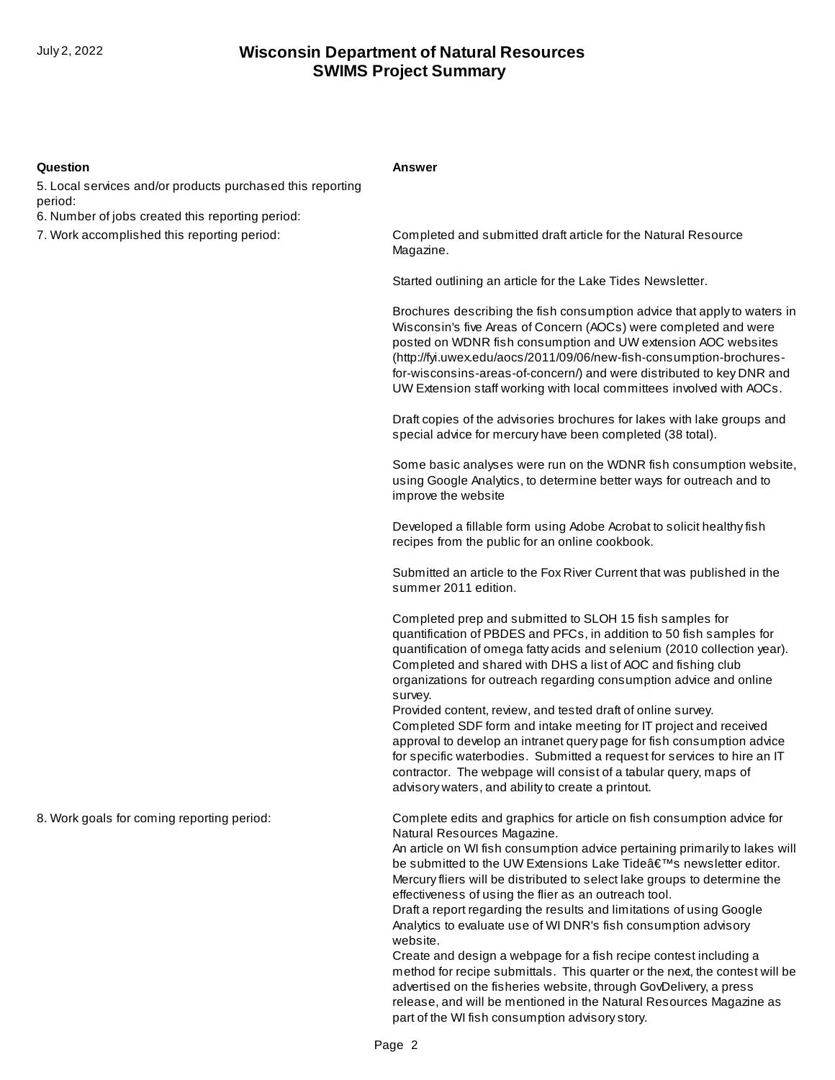### **Question Answer**

5. Local services and/or products purchased this reporting period:

6. Number of jobs created this reporting period:

7. Work accomplished this reporting period:

Completed and submitted draft article for the Natural Resource Magazine.

Started outlining an article for the Lake Tides Newsletter.

Brochures describing the fish consumption advice that apply to waters in Wisconsin's five Areas of Concern (AOCs) were completed and were posted on WDNR fish consumption and UW extension AOC websites (http://fyi.uwex.edu/aocs/2011/09/06/new-fish-consumption-brochuresfor-wisconsins-areas-of-concern/) and were distributed to key DNR and UW Extension staff working with local committees involved with AOCs.

Draft copies of the advisories brochures for lakes with lake groups and special advice for mercury have been completed (38 total).

Some basic analyses were run on the WDNR fish consumption website, using Google Analytics, to determine better ways for outreach and to improve the website

Developed a fillable form using Adobe Acrobat to solicit healthy fish recipes from the public for an online cookbook.

Submitted an article to the Fox River Current that was published in the summer 2011 edition.

Completed prep and submitted to SLOH 15 fish samples for quantification of PBDES and PFCs, in addition to 50 fish samples for quantification of omega fatty acids and selenium (2010 collection year). Completed and shared with DHS a list of AOC and fishing club organizations for outreach regarding consumption advice and online survey.

Provided content, review, and tested draft of online survey. Completed SDF form and intake meeting for IT project and received approval to develop an intranet query page for fish consumption advice for specific waterbodies. Submitted a request for services to hire an IT contractor. The webpage will consist of a tabular query, maps of advisory waters, and ability to create a printout.

8. Work goals for coming reporting period:

Complete edits and graphics for article on fish consumption advice for Natural Resources Magazine.

An article on WI fish consumption advice pertaining primarily to lakes will be submitted to the UW Extensions Lake Tide's newsletter editor. Mercury fliers will be distributed to select lake groups to determine the effectiveness of using the flier as an outreach tool.

Draft a report regarding the results and limitations of using Google Analytics to evaluate use of WI DNR's fish consumption advisory website.

Create and design a webpage for a fish recipe contest including a method for recipe submittals. This quarter or the next, the contest will be advertised on the fisheries website, through GovDelivery, a press release, and will be mentioned in the Natural Resources Magazine as part of the WI fish consumption advisory story.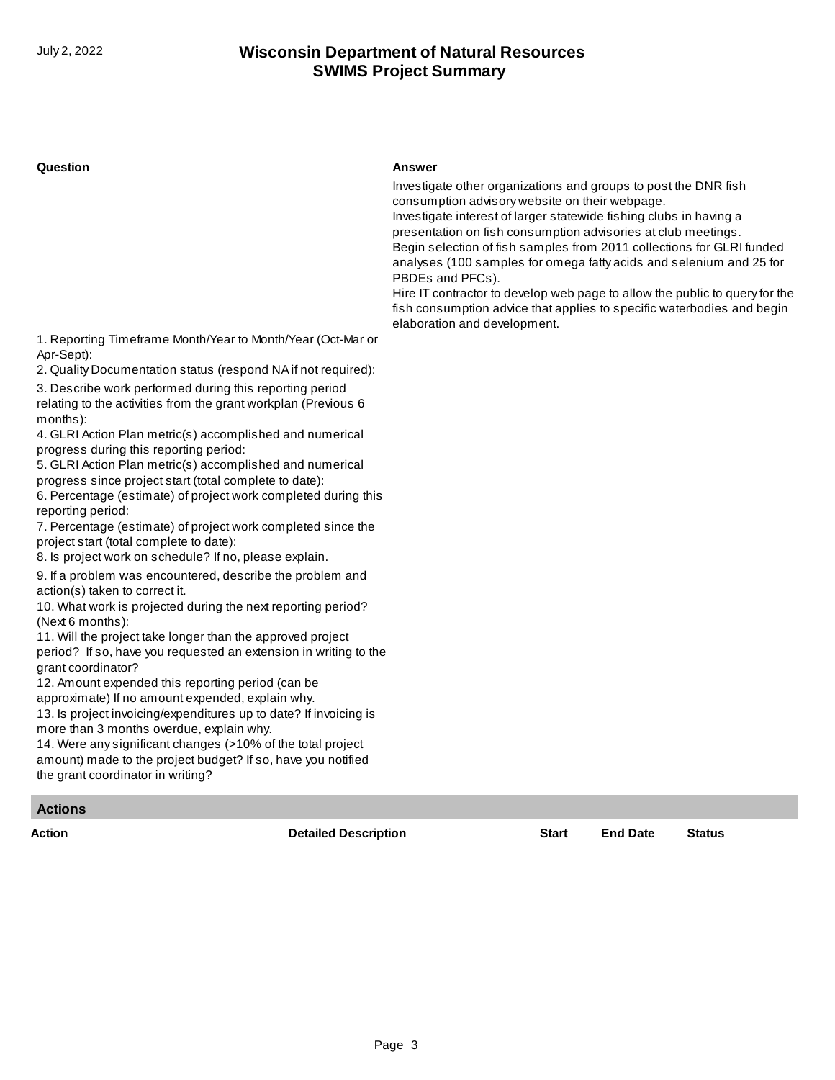#### **Question Answer**

Investigate other organizations and groups to post the DNR fish consumption advisory website on their webpage.

Investigate interest of larger statewide fishing clubs in having a presentation on fish consumption advisories at club meetings. Begin selection of fish samples from 2011 collections for GLRI funded analyses (100 samples for omega fatty acids and selenium and 25 for PBDEs and PFCs).

Hire IT contractor to develop web page to allow the public to query for the fish consumption advice that applies to specific waterbodies and begin elaboration and development.

1. Reporting Timeframe Month/Year to Month/Year (Oct-Mar or Apr-Sept):

2. Quality Documentation status (respond NA if not required):

3. Describe work performed during this reporting period relating to the activities from the grant workplan (Previous 6 months):

4. GLRI Action Plan metric(s) accomplished and numerical progress during this reporting period:

5. GLRI Action Plan metric(s) accomplished and numerical progress since project start (total complete to date):

6. Percentage (estimate) of project work completed during this reporting period:

7. Percentage (estimate) of project work completed since the project start (total complete to date):

8. Is project work on schedule? If no, please explain.

9. If a problem was encountered, describe the problem and action(s) taken to correct it.

10. What work is projected during the next reporting period? (Next 6 months):

11. Will the project take longer than the approved project period? If so, have you requested an extension in writing to the grant coordinator?

12. Amount expended this reporting period (can be approximate) If no amount expended, explain why.

13. Is project invoicing/expenditures up to date? If invoicing is more than 3 months overdue, explain why.

14. Were any significant changes (>10% of the total project amount) made to the project budget? If so, have you notified the grant coordinator in writing?

### **Actions**

**Action Detailed Description Start End Date Status**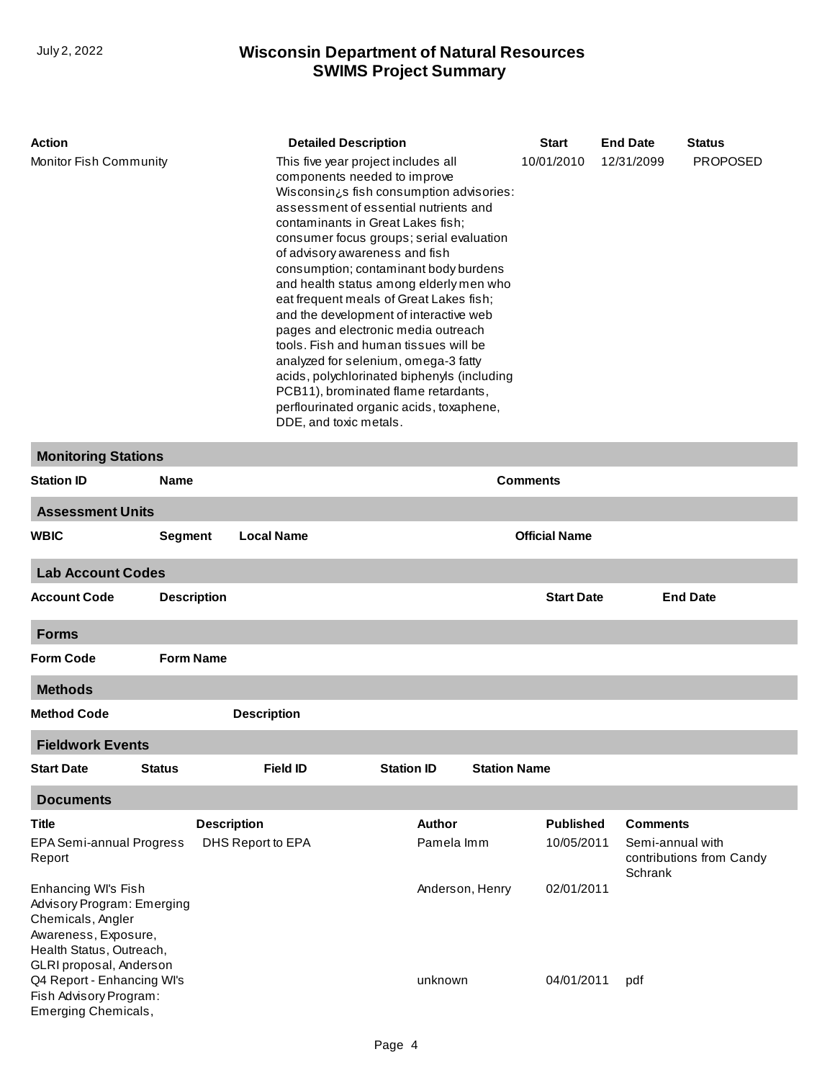| Action                     | <b>Detailed Description</b>                                                                                                                                                                                                                                                                                                                                                                                                                                                                                                                                                                                                                                                                                                                            | <b>Start</b> | <b>End Date</b> | <b>Status</b>   |
|----------------------------|--------------------------------------------------------------------------------------------------------------------------------------------------------------------------------------------------------------------------------------------------------------------------------------------------------------------------------------------------------------------------------------------------------------------------------------------------------------------------------------------------------------------------------------------------------------------------------------------------------------------------------------------------------------------------------------------------------------------------------------------------------|--------------|-----------------|-----------------|
| Monitor Fish Community     | This five year project includes all<br>components needed to improve<br>Wisconsin <sub>i</sub> s fish consumption advisories:<br>assessment of essential nutrients and<br>contaminants in Great Lakes fish;<br>consumer focus groups; serial evaluation<br>of advisory awareness and fish<br>consumption; contaminant body burdens<br>and health status among elderly men who<br>eat frequent meals of Great Lakes fish;<br>and the development of interactive web<br>pages and electronic media outreach<br>tools. Fish and human tissues will be<br>analyzed for selenium, omega-3 fatty<br>acids, polychlorinated biphenyls (including<br>PCB11), brominated flame retardants,<br>perflourinated organic acids, toxaphene,<br>DDE, and toxic metals. | 10/01/2010   | 12/31/2099      | <b>PROPOSED</b> |
| <b>Monitoring Stations</b> |                                                                                                                                                                                                                                                                                                                                                                                                                                                                                                                                                                                                                                                                                                                                                        |              |                 |                 |

| <b>Station ID</b>                                                                                                                                     | <b>Name</b>        | <b>Comments</b>    |                      |                     |                   |                                                         |  |
|-------------------------------------------------------------------------------------------------------------------------------------------------------|--------------------|--------------------|----------------------|---------------------|-------------------|---------------------------------------------------------|--|
| <b>Assessment Units</b>                                                                                                                               |                    |                    |                      |                     |                   |                                                         |  |
| <b>WBIC</b><br><b>Segment</b><br><b>Local Name</b>                                                                                                    |                    |                    | <b>Official Name</b> |                     |                   |                                                         |  |
| <b>Lab Account Codes</b>                                                                                                                              |                    |                    |                      |                     |                   |                                                         |  |
| <b>Account Code</b>                                                                                                                                   | <b>Description</b> |                    |                      |                     | <b>Start Date</b> | <b>End Date</b>                                         |  |
| <b>Forms</b>                                                                                                                                          |                    |                    |                      |                     |                   |                                                         |  |
| <b>Form Code</b>                                                                                                                                      | <b>Form Name</b>   |                    |                      |                     |                   |                                                         |  |
| <b>Methods</b>                                                                                                                                        |                    |                    |                      |                     |                   |                                                         |  |
| <b>Method Code</b>                                                                                                                                    |                    | <b>Description</b> |                      |                     |                   |                                                         |  |
| <b>Fieldwork Events</b>                                                                                                                               |                    |                    |                      |                     |                   |                                                         |  |
| <b>Start Date</b>                                                                                                                                     | <b>Status</b>      | <b>Field ID</b>    | <b>Station ID</b>    | <b>Station Name</b> |                   |                                                         |  |
| <b>Documents</b>                                                                                                                                      |                    |                    |                      |                     |                   |                                                         |  |
| <b>Title</b>                                                                                                                                          |                    | <b>Description</b> | Author               |                     | <b>Published</b>  | <b>Comments</b>                                         |  |
| EPA Semi-annual Progress<br>Report                                                                                                                    |                    | DHS Report to EPA  | Pamela Imm           |                     | 10/05/2011        | Semi-annual with<br>contributions from Candy<br>Schrank |  |
| Enhancing WI's Fish<br>Advisory Program: Emerging<br>Chemicals, Angler<br>Awareness, Exposure,<br>Health Status, Outreach,<br>GLRI proposal, Anderson |                    | Anderson, Henry    |                      | 02/01/2011          |                   |                                                         |  |
| Q4 Report - Enhancing WI's<br>Fish Advisory Program:<br>Emerging Chemicals,                                                                           |                    |                    | unknown              |                     | 04/01/2011        | pdf                                                     |  |